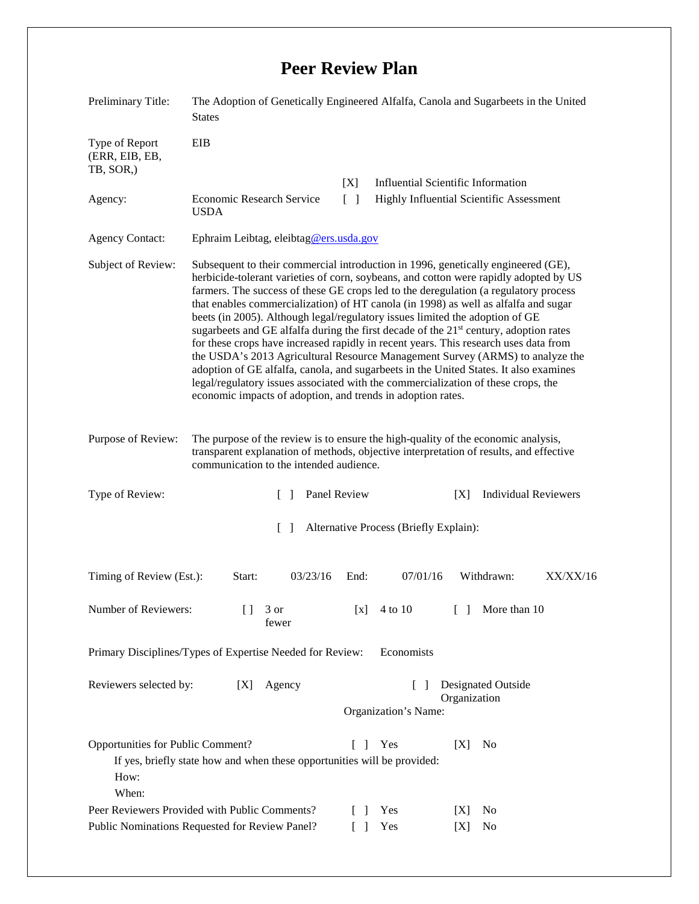## **Peer Review Plan**

| Preliminary Title:                                                                                                                                                   | The Adoption of Genetically Engineered Alfalfa, Canola and Sugarbeets in the United<br><b>States</b>                                                                                                                                                                                                                                                                                                                                                                                                                                                                                                                                                                                                                                                                                                                                                                                                                                                                 |
|----------------------------------------------------------------------------------------------------------------------------------------------------------------------|----------------------------------------------------------------------------------------------------------------------------------------------------------------------------------------------------------------------------------------------------------------------------------------------------------------------------------------------------------------------------------------------------------------------------------------------------------------------------------------------------------------------------------------------------------------------------------------------------------------------------------------------------------------------------------------------------------------------------------------------------------------------------------------------------------------------------------------------------------------------------------------------------------------------------------------------------------------------|
| Type of Report<br>(ERR, EIB, EB,<br>TB, SOR,)                                                                                                                        | EIB                                                                                                                                                                                                                                                                                                                                                                                                                                                                                                                                                                                                                                                                                                                                                                                                                                                                                                                                                                  |
|                                                                                                                                                                      | <b>Influential Scientific Information</b><br>[X]                                                                                                                                                                                                                                                                                                                                                                                                                                                                                                                                                                                                                                                                                                                                                                                                                                                                                                                     |
| Agency:                                                                                                                                                              | Economic Research Service<br>$\begin{bmatrix} 1 \end{bmatrix}$<br>Highly Influential Scientific Assessment<br><b>USDA</b>                                                                                                                                                                                                                                                                                                                                                                                                                                                                                                                                                                                                                                                                                                                                                                                                                                            |
| <b>Agency Contact:</b>                                                                                                                                               | Ephraim Leibtag, eleibtag@ers.usda.gov                                                                                                                                                                                                                                                                                                                                                                                                                                                                                                                                                                                                                                                                                                                                                                                                                                                                                                                               |
| Subject of Review:                                                                                                                                                   | Subsequent to their commercial introduction in 1996, genetically engineered (GE),<br>herbicide-tolerant varieties of corn, soybeans, and cotton were rapidly adopted by US<br>farmers. The success of these GE crops led to the deregulation (a regulatory process<br>that enables commercialization) of HT canola (in 1998) as well as alfalfa and sugar<br>beets (in 2005). Although legal/regulatory issues limited the adoption of GE<br>sugarbeets and GE alfalfa during the first decade of the 21 <sup>st</sup> century, adoption rates<br>for these crops have increased rapidly in recent years. This research uses data from<br>the USDA's 2013 Agricultural Resource Management Survey (ARMS) to analyze the<br>adoption of GE alfalfa, canola, and sugarbeets in the United States. It also examines<br>legal/regulatory issues associated with the commercialization of these crops, the<br>economic impacts of adoption, and trends in adoption rates. |
| Purpose of Review:                                                                                                                                                   | The purpose of the review is to ensure the high-quality of the economic analysis,<br>transparent explanation of methods, objective interpretation of results, and effective<br>communication to the intended audience.                                                                                                                                                                                                                                                                                                                                                                                                                                                                                                                                                                                                                                                                                                                                               |
| Type of Review:                                                                                                                                                      | Panel Review<br><b>Individual Reviewers</b><br>$\Box$<br>[X]                                                                                                                                                                                                                                                                                                                                                                                                                                                                                                                                                                                                                                                                                                                                                                                                                                                                                                         |
|                                                                                                                                                                      | Alternative Process (Briefly Explain):<br>$\Box$                                                                                                                                                                                                                                                                                                                                                                                                                                                                                                                                                                                                                                                                                                                                                                                                                                                                                                                     |
| Timing of Review (Est.):                                                                                                                                             | 03/23/16<br>07/01/16<br>Withdrawn:<br>XX/XX/16<br>Start:<br>End:                                                                                                                                                                                                                                                                                                                                                                                                                                                                                                                                                                                                                                                                                                                                                                                                                                                                                                     |
| Number of Reviewers:                                                                                                                                                 | 3 or<br>More than 10<br>4 to 10<br>Ħ<br>$\lceil x \rceil$<br>- 1<br>fewer                                                                                                                                                                                                                                                                                                                                                                                                                                                                                                                                                                                                                                                                                                                                                                                                                                                                                            |
| Economists<br>Primary Disciplines/Types of Expertise Needed for Review:                                                                                              |                                                                                                                                                                                                                                                                                                                                                                                                                                                                                                                                                                                                                                                                                                                                                                                                                                                                                                                                                                      |
| Reviewers selected by:                                                                                                                                               | <b>Designated Outside</b><br>Agency<br>[X]<br>L<br>$\blacksquare$<br>Organization<br>Organization's Name:                                                                                                                                                                                                                                                                                                                                                                                                                                                                                                                                                                                                                                                                                                                                                                                                                                                            |
| Opportunities for Public Comment?<br>Yes<br>[X]<br>No<br>$\Gamma$<br>-1<br>If yes, briefly state how and when these opportunities will be provided:<br>How:<br>When: |                                                                                                                                                                                                                                                                                                                                                                                                                                                                                                                                                                                                                                                                                                                                                                                                                                                                                                                                                                      |
|                                                                                                                                                                      | Peer Reviewers Provided with Public Comments?<br>Yes<br>No<br>$\lceil$ 1<br>[X]                                                                                                                                                                                                                                                                                                                                                                                                                                                                                                                                                                                                                                                                                                                                                                                                                                                                                      |
|                                                                                                                                                                      | Public Nominations Requested for Review Panel?<br>Yes<br>[X]<br>No                                                                                                                                                                                                                                                                                                                                                                                                                                                                                                                                                                                                                                                                                                                                                                                                                                                                                                   |